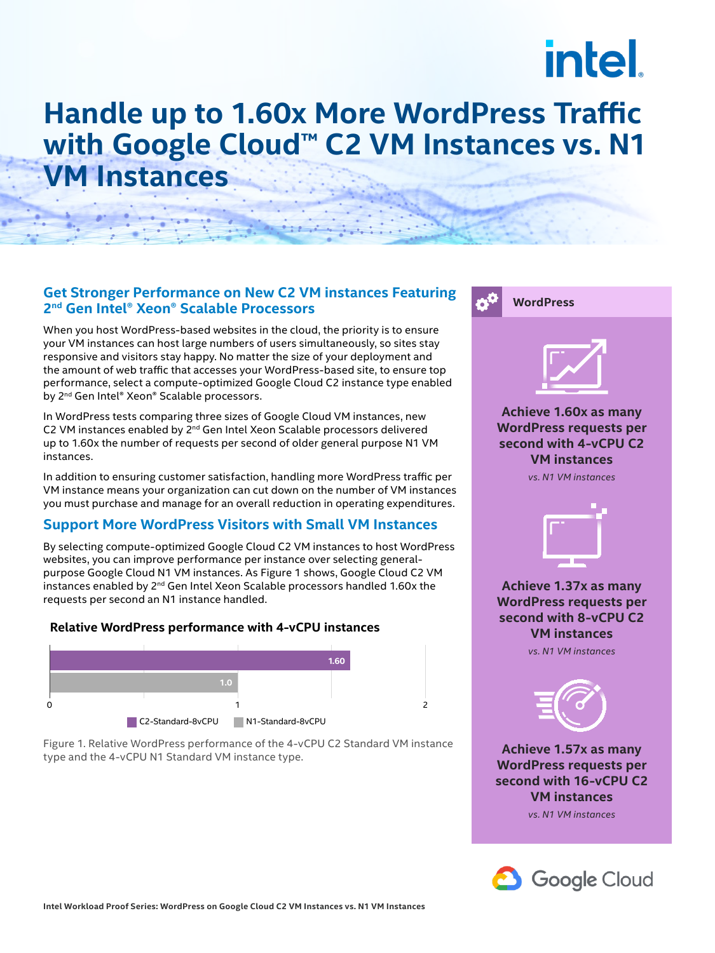# intel.

# **Handle up to 1.60x More WordPress Traffic with Google Cloud™ C2 VM Instances vs. N1 VM Instances**

## **Get Stronger Performance on New C2 VM instances Featuring 2nd Gen Intel® Xeon® Scalable Processors**

When you host WordPress-based websites in the cloud, the priority is to ensure your VM instances can host large numbers of users simultaneously, so sites stay responsive and visitors stay happy. No matter the size of your deployment and the amount of web traffic that accesses your WordPress-based site, to ensure top performance, select a compute-optimized Google Cloud C2 instance type enabled by 2<sup>nd</sup> Gen Intel® Xeon® Scalable processors.

In WordPress tests comparing three sizes of Google Cloud VM instances, new C2 VM instances enabled by 2<sup>nd</sup> Gen Intel Xeon Scalable processors delivered up to 1.60x the number of requests per second of older general purpose N1 VM instances.

In addition to ensuring customer satisfaction, handling more WordPress traffic per VM instance means your organization can cut down on the number of VM instances you must purchase and manage for an overall reduction in operating expenditures.

# **Support More WordPress Visitors with Small VM Instances**

By selecting compute-optimized Google Cloud C2 VM instances to host WordPress websites, you can improve performance per instance over selecting generalpurpose Google Cloud N1 VM instances. As Figure 1 shows, Google Cloud C2 VM instances enabled by 2<sup>nd</sup> Gen Intel Xeon Scalable processors handled 1.60x the requests per second an N1 instance handled.

### **Relative WordPress performance with 4-vCPU instances**



Figure 1. Relative WordPress performance of the 4-vCPU C2 Standard VM instance type and the 4-vCPU N1 Standard VM instance type.